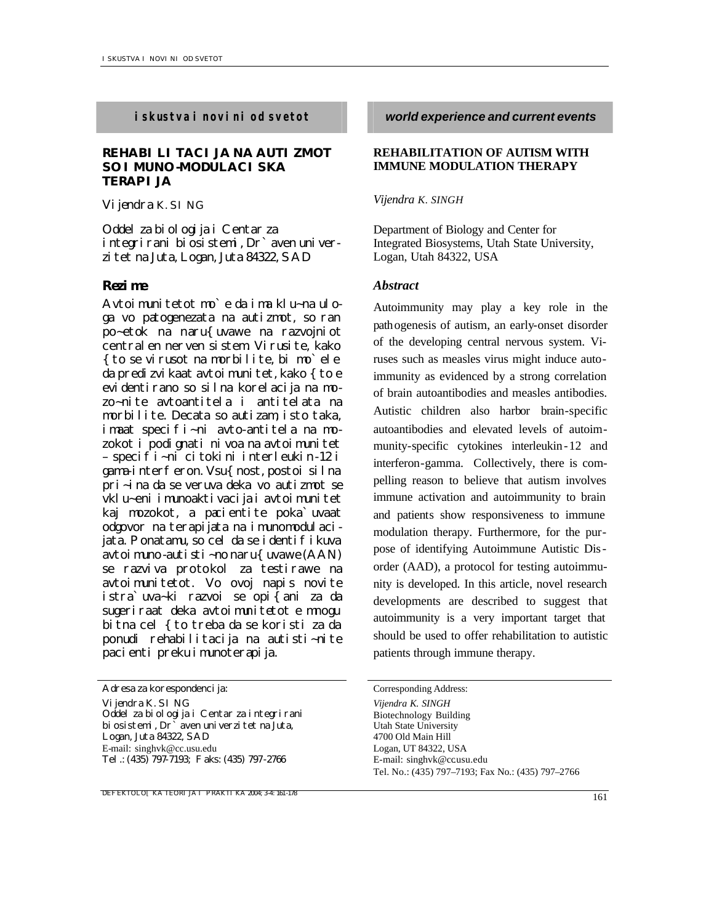## **REHABILITACIJA NA AUTIZMOT SO IMUNO-MODULACISKA TERAPIJA**

*Vijendra K. SING*

Oddel za biologija i Centar za integrirani biosistemi, Dr`aven univerzitet na Juta, Logan, Juta 84322, SAD

Avtoimunitetot mo`e da ima klu~na uloga vo patogenezata na autizmot, so ran po~etok na naru{uvawe na razvojniot centralen nerven sistem. Virusite, kako {to se virusot na morbilite, bi mo`ele da predizvikaat avtoimunitet, kako {to e evidentirano so silna korelacija na mozo~nite avtoantitela i antitelata na morbilite. Decata so autizam, isto taka, imaat specifi~ni avto-antitela na mozokot i podignati nivoa na avtoimunitet – specifi~ni citokini interleukin-12 i gama-interferon. Vsu{nost, postoi silna pri~ina da se veruva deka vo autizmot se vklu~eni imunoaktivacija i avtoimunitet kaj mozokot, a pacientite poka`uvaat odgovor na terapijata na imunomodulacijata. Ponatamu, so cel da se i dentifikuva avtoi muno-autisti~no naru{uvawe  $(AAN)$ se razviva protokol za testirawe na avtoimunitetot. Vo ovoj napis novite istra`uva~ki razvoi se opi{ani za da sugeriraat deka avtoimunitetot e mnogu bitna cel {to treba da se koristi za da ponudi rehabilitacija na autisti~nite pacienti preku imunoterapija.

## **REHABILITATION OF AUTISM WITH IMMUNE MODULATION THERAPY**

*Vijendra K. SINGH*

Department of Biology and Center for Integrated Biosystems, Utah State University, Logan, Utah 84322, USA

### *Rezime Abstract*

Autoimmunity may play a key role in the pathogenesis of autism, an early-onset disorder of the developing central nervous system. Viruses such as measles virus might induce autoimmunity as evidenced by a strong correlation of brain autoantibodies and measles antibodies. Autistic children also harbor brain-specific autoantibodies and elevated levels of autoimmunity-specific cytokines interleukin-12 and interferon-gamma. Collectively, there is compelling reason to believe that autism involves immune activation and autoimmunity to brain and patients show responsiveness to immune modulation therapy. Furthermore, for the purpose of identifying Autoimmune Autistic Disorder (AAD), a protocol for testing autoimmunity is developed. In this article, novel research developments are described to suggest that autoimmunity is a very important target that should be used to offer rehabilitation to autistic patients through immune therapy.

*Vijendra K. SINGH* Biotechnology Building Utah State University 4700 Old Main Hill Logan, UT 84322, USA E-mail: singhvk@ccusu.edu Tel. No.: (435) 797–7193; Fax No.: (435) 797–2766

Adresa za korespondencija: Corresponding Address: *Vijendra K. SING* Oddel za biologija i Centar za integrirani biosistemi, Dr<sup>o</sup> aven univerzitet na Juta, Logan, Juta 84322, SAD E-mail: singhvk@cc.usu.edu Tel.: (435) 797-7193; Faks: (435) 797-2766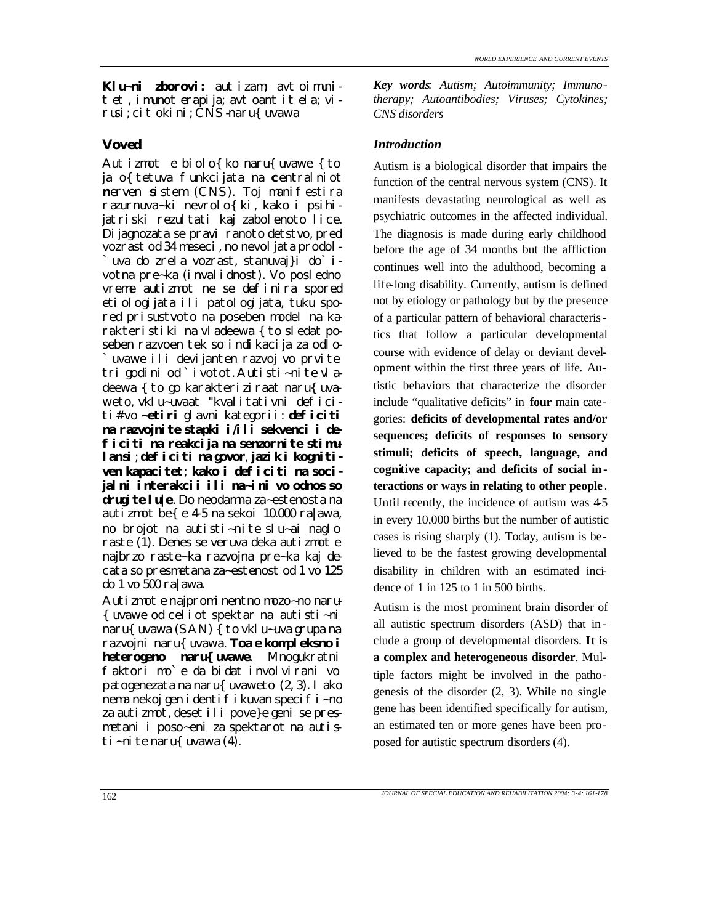*Klu~ni zborovi: autizam; avtoimunitet, imunoterapija; avtoantitela; virusi; citokini; CNS-naru{uvawa*

Autizmot e biolo{ko naru{uvawe {to ja o{tetuva funkcijata na **c**entralniot **n**erven **s**istem (CNS). Toj manifestira razurnuva~ki nevrolo{ki, kako i psihijatriski rezultati kaj zabolenoto lice. Dijagnozata se pravi ranoto detstvo, pred vozrast od 34 meseci, no nevoljata prodol- `uva do zrela vozrast, stanuvaj}i do`ivotna pre~ka (invalidnost). Vo posledno vreme autizmot ne se definira spored etiologijata ili patologijata, tuku spored prisustvoto na poseben model na karakteristiki na vladeewa { to sledat poseben razvoen tek so indikacija za odlo- `uvawe ili devijanten razvoj vo prvite tri godini od `ivotot. Autisti~nite vladeewa { to go karakteri zi raat naru{ uvaweto, vklu~uvaat "kvalitativni deficiti# vo **~etiri** glavni kategorii: **deficiti na razvojnite stapki i/ili sekvenci i deficiti na reakcija na senzornite stimulansi**; **deficiti na govor**, **jazik i kognitiven kapacitet**; **kako i deficiti na socijalni interakcii ili na~ini vo odnos so drugite lu|e**. Do neodamna za~estenosta na autizmot be{e 4-5 na sekoi 10.000 ra|awa, no brojot na autisti~nite slu~ai naglo raste (1). Denes se veruva deka autizmot e najbrzo raste~ka razvojna pre~ka kaj decata so presmetana za~estenost od 1 vo 125 do 1 vo 500 ra|awa.

Autizmot e najprominentno mozo~no naru-{uvawe od celiot spektar na autisti~ni naru{ uvawa (SAN)  $\bar{f}$  to vklu~uva grupa na razvojni naru{uvawa. **Toa e kompleksno i heterogeno naruf uvawe**. Mnogukratni faktori mo`e da bidat involvirani vo patogenezata na naru{uvaweto (2, 3). Iako nema nekoj gen i dentifikuvan specifi~no za autizmot, deset ili pove}e geni se presmetani i poso~eni za spektarot na autisti ~ni te naru{ uvawa  $(4)$ .

*Key words: Autism; Autoimmunity; Immunotherapy; Autoantibodies; Viruses; Cytokines; CNS disorders* 

# *Voved Introduction*

Autism is a biological disorder that impairs the function of the central nervous system (CNS). It manifests devastating neurological as well as psychiatric outcomes in the affected individual. The diagnosis is made during early childhood before the age of 34 months but the affliction continues well into the adulthood, becoming a life-long disability. Currently, autism is defined not by etiology or pathology but by the presence of a particular pattern of behavioral characteristics that follow a particular developmental course with evidence of delay or deviant development within the first three years of life. Autistic behaviors that characterize the disorder include "qualitative deficits" in **four** main categories: **deficits of developmental rates and/or sequences; deficits of responses to sensory stimuli; deficits of speech, language, and cognitive capacity; and deficits of social interactions or ways in relating to other people** . Until recently, the incidence of autism was 45 in every 10,000 births but the number of autistic cases is rising sharply (1). Today, autism is believed to be the fastest growing developmental disability in children with an estimated incidence of 1 in 125 to 1 in 500 births.

Autism is the most prominent brain disorder of all autistic spectrum disorders (ASD) that in clude a group of developmental disorders. **It is a complex and heterogeneous disorder**. Multiple factors might be involved in the pathogenesis of the disorder (2, 3). While no single gene has been identified specifically for autism, an estimated ten or more genes have been proposed for autistic spectrum disorders (4).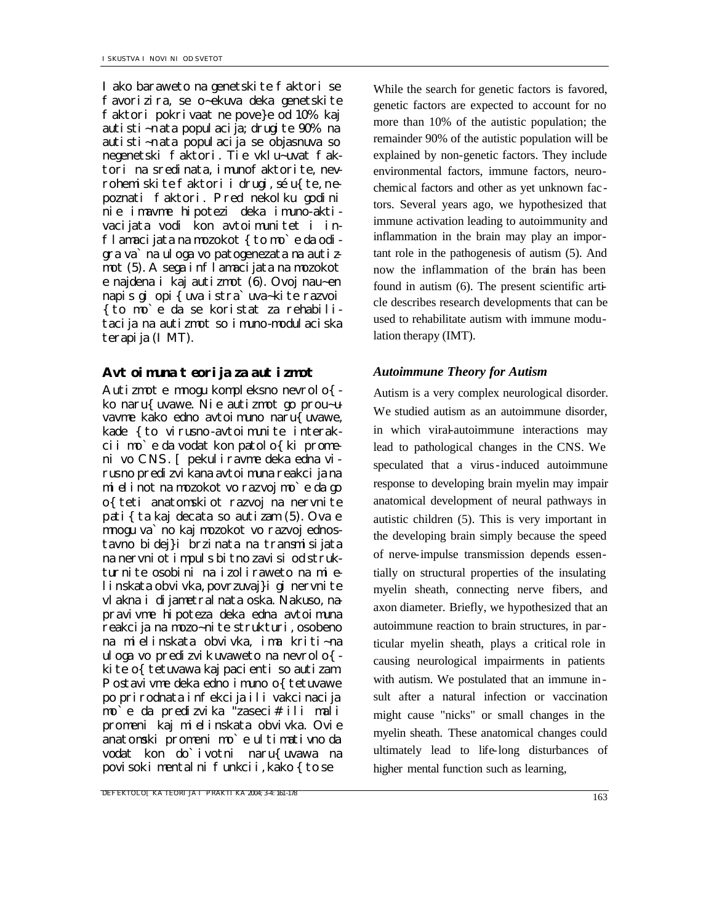I ako baraweto na genetski te faktori se favorizira, se o~ekuva deka genetskite faktori pokrivaat ne pove}e od 10% kaj autisti~nata populacija; drugite 90% na autisti~nata populacija se objasnuva so negenetski faktori. Tie vklu~uvat faktori na sredinata, imunof aktorite, nevrohemiskite faktori i drugi, sé u{te, nepoznati faktori. Pred nekolku godini nie imavme hipotezi deka imuno-aktivacijata vodi kon avtoimunitet i inflamacijata na mozokot { to mo`e da odigra va`na uloga vo patogenezata na autizmot (5). A sega inflamacijata na mozokot e najdena i kaj autizmot (6). Ovoj nau~en napis gi opi{uva istra`uva~kite razvoi {to mo`e da se koristat za rehabilitacija na autizmot so imuno-modulaciska terapija (I MT).

# *Avtoimuna teorija za autizmot Autoimmune Theory for Autism*

Autizmot e mnogu kompleksno nevrolo{ ko naru{uvawe. Nie autizmot go prou~uvavme kako edno avtoimuno naru{uvawe, kade { to virusno-avtoimunite interakcii mo`e da vodat kon patolo{ki promeni vo CNS. [ pekuliravme deka edna virusno predizvi kana avtoi muna reakci ja na mielinot na mozokot vo razvoj mo`e da go o{teti anatomskiot razvoj na nervnite pati{ta kaj decata so autizam (5). Ova e mnogu va`no kaj mozokot vo razvoj ednostavno bidej}i brzinata na transmisijata na nervniot impuls bitno zavisi od strukturnite osobini na izoliraweto na mi elinskata obvivka, povrzuvaj}i gi nervnite vlakna i dijametralnata oska. Nakuso, napravivme hipoteza deka edna avtoimuna reakcija na mozo~nite strukturi, osobeno na mielinskata obvivka, ima kriti~na uloga vo predizvikuvaweto na nevrolo{ kite of tetuvawa kaj pacienti so autizam. Postavi vme deka edno i muno o{ tetuvawe po prirodnata infekcija ili vakcinacija mo`e da predizvika "zaseci# ili mali promeni kaj mielinskata obvivka. Ovie anatomski promeni mo`e ultimativno da vodat kon do`ivotni naru{uvawa na povisoki mentalni funkcii, kako {to se

While the search for genetic factors is favored, genetic factors are expected to account for no more than 10% of the autistic population; the remainder 90% of the autistic population will be explained by non-genetic factors. They include environmental factors, immune factors, neurochemic al factors and other as yet unknown fac tors. Several years ago, we hypothesized that immune activation leading to autoimmunity and inflammation in the brain may play an important role in the pathogenesis of autism (5). And now the inflammation of the brain has been found in autism (6). The present scientific article describes research developments that can be used to rehabilitate autism with immune modulation therapy (IMT).

Autism is a very complex neurological disorder. We studied autism as an autoimmune disorder, in which viral-autoimmune interactions may lead to pathological changes in the CNS. We speculated that a virus-induced autoimmune response to developing brain myelin may impair anatomical development of neural pathways in autistic children (5). This is very important in the developing brain simply because the speed of nerve-impulse transmission depends essentially on structural properties of the insulating myelin sheath, connecting nerve fibers, and axon diameter. Briefly, we hypothesized that an autoimmune reaction to brain structures, in particular myelin sheath, plays a critical role in causing neurological impairments in patients with autism. We postulated that an immune insult after a natural infection or vaccination might cause "nicks" or small changes in the myelin sheath. These anatomical changes could ultimately lead to life-long disturbances of higher mental function such as learning,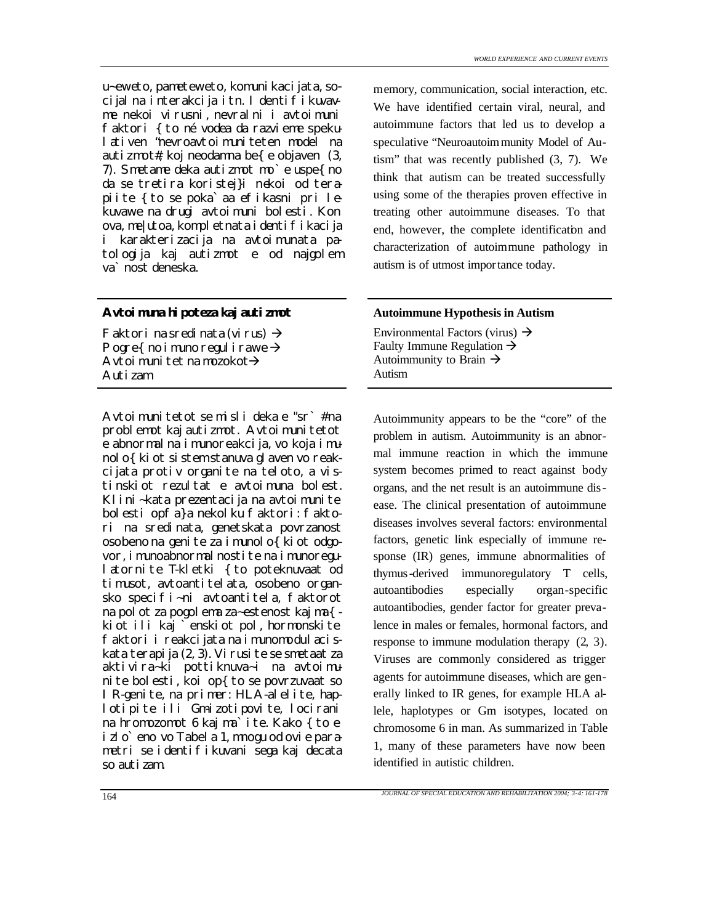u~eweto, pameteweto, komunikacijata, socijal na interakcija itn. I dentifikuvavme nekoi virusni, nevralni i avtoimuni faktori {to né vodea da razvieme spekulativen "nevroavtoimuniteten model na autizmot#, koj neodamna be{e objaven (3, 7). Smetame deka autizmot mo`e uspe{no da se tretira koristej}i nekoi od terapiite {to se poka`aa efikasni pri lekuvawe na drugi avtoimuni bolesti. Kon ova, me|utoa, kompletnata identifikacija i karakterizacija na avtoimunata patologija kaj autizmot e od najgolem va`nost deneska.

|  | Avtoi mma hi poteza kaj auti zmot |
|--|-----------------------------------|
|  |                                   |

Faktori na sredinata (virus)  $\rightarrow$ Pogre{ no imuno regul i rawe  $\rightarrow$ Avtoi munitet na mozokot $\rightarrow$ Autizam

Avtoimunitetot se misli deka e "sr`# na problemot kaj autizmot. Avtoimunitetot e abnormalna imunoreakcija, vo koja imunolo{kiot sistem stanuva glaven vo reakcijata protiv organite na teloto, a vistinskiot rezultat e avtoimuna bolest. Klini~kata prezentacija na avtoimunite bolesti opfa}a nekolku faktori: faktori na sredinata, genetskata povrzanost osobeno na genite za imunolo $\int$ kiot odgovor, imunoabnormalnostite na imunoregulatornite T-kletki { to poteknuvaat od timusot, avtoanti tel ata, osobeno organsko specifi~ni avtoantitela, faktorot na polot za pogolema za~estenost kaj ma{kiot ili kaj `enskiot pol, hormonskite faktori i reakcijata na imunomodulaciskata terapija (2, 3). Virusite se smetaat za aktivira~ki pottiknuva~i na avtoimunite bolesti, koi op{to se povrzuvaat so IR-genite, na primer: HLA-alelite, haplotipite ili Gm-izotipovite, locirani na hromozomot 6 kaj ma`ite. Kako { to e izlo`eno vo Tabela 1, mnogu od ovie parametri se identifikuvani sega kaj decata so autizam.

memory, communication, social interaction, etc. We have identified certain viral, neural, and autoimmune factors that led us to develop a speculative "Neuroautoimmunity Model of Autism" that was recently published (3, 7). We think that autism can be treated successfully using some of the therapies proven effective in treating other autoimmune diseases. To that end, however, the complete identification and characterization of autoimmune pathology in autism is of utmost importance today.

| <b>Autoimmune Hypothesis in Autism</b>                                                                                                 |
|----------------------------------------------------------------------------------------------------------------------------------------|
| Environmental Factors (virus) $\rightarrow$<br>Faulty Immune Regulation $\rightarrow$<br>Autoimmunity to Brain $\rightarrow$<br>Autism |

Autoimmunity appears to be the "core" of the problem in autism. Autoimmunity is an abnormal immune reaction in which the immune system becomes primed to react against body organs, and the net result is an autoimmune disease. The clinical presentation of autoimmune diseases involves several factors: environmental factors, genetic link especially of immune response (IR) genes, immune abnormalities of thymus-derived immunoregulatory T cells, autoantibodies especially organ-specific autoantibodies, gender factor for greater prevalence in males or females, hormonal factors, and response to immune modulation therapy (2, 3). Viruses are commonly considered as trigger agents for autoimmune diseases, which are generally linked to IR genes, for example HLA allele, haplotypes or Gm isotypes, located on chromosome 6 in man. As summarized in Table 1, many of these parameters have now been identified in autistic children.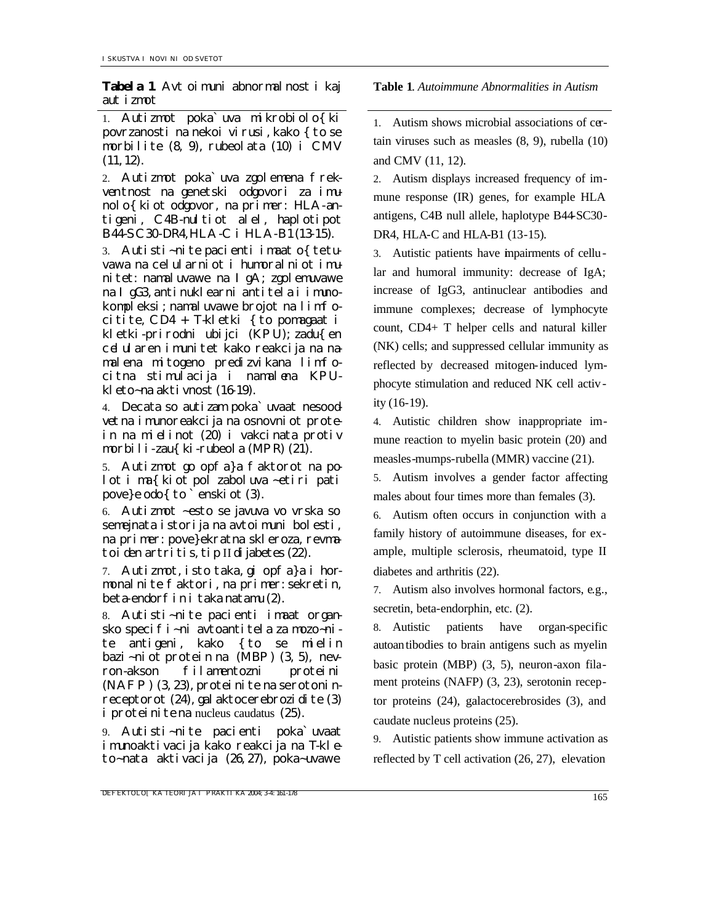**Tabela 1**. *Avtoimuni abnormalnosti kaj autizmot*

1. Autizmot poka`uva mikrobiolo{ki povrzanosti na nekoi virusi, kako {to se morbilite (8, 9), rubeolata (10) i CMV (11, 12).

2. Autizmot poka`uva zgolemena frekventnost na genetski odgovori za imunolo{kiot odgovor, na primer: HLA-antigeni, C4B-nultiot alel, haplotipot B44-SC30-DR4, HLA-C i HLA-B1 (13-15).

3. Autisti~nite pacienti imaat o{tetuvawa na celularniot i humoralniot imunitet: namaluvawe na IgA; zgolemuvawe na IgG3, antinuklearni antitela i imunokompleksi; namaluvawe brojot na limfocitite, CD4 + T-kletki {to pomagaat i kletki-prirodni ubijci (KPU); zadu{en celularen imunitet kako reakcija na namalena mitogeno predizvikana limfocitna stimulacija i namalena KPUkleto~na aktivnost (16-19).

4. Decata so autizam poka`uvaat nesoodvetna imunoreakcija na osnovniot protein na mielinot (20) i vakcinata protiv morbili-zau{ki-rubeola (MPR) (21).

5. Autizmot go opfa}a faktorot na polot i ma{kiot pol zaboluva ~etiri pati pove}e odo{to `enskiot (3).

6. Autizmot ~esto se javuva vo vrska so semejnata istorija na avtoimuni bolesti, na primer: pove}ekratna skleroza, revmatoi den artritis, tip II dijabetes (22).

7. Autizmot, isto taka, gi opfa}a i hormonalnite faktori, na primer: sekretin, beta-endorfin i taka natamu (2).

8. Autisti~nite pacienti imaat organsko specifi~ni avtoantitela za mozo~nite antigeni, kako {to se mielin bazi~niot protein na (MBP) (3, 5), nevron-akson filamentozni proteini (NAFP) (3, 23), proteinite na serotoninreceptorot (24), gal aktocerebrozi di te (3) i proteinite na nucleus caudatus (25).

9. Autisti~nite pacienti poka`uvaat imunoaktivacija kako reakcija na T-kleto~nata aktivacija (26, 27), poka~uvawe

### **Table 1**. *Autoimmune Abnormalities in Autism*

1. Autism shows microbial associations of certain viruses such as measles (8, 9), rubella (10) and CMV (11, 12).

2. Autism displays increased frequency of immune response (IR) genes, for example HLA antigens, C4B null allele, haplotype B44-SC30- DR4, HLA-C and HLA-B1 (13-15).

3. Autistic patients have impairments of cellular and humoral immunity: decrease of IgA; increase of IgG3, antinuclear antibodies and immune complexes; decrease of lymphocyte count, CD4+ T helper cells and natural killer (NK) cells; and suppressed cellular immunity as reflected by decreased mitogen-induced lymphocyte stimulation and reduced NK cell activ ity (16-19).

4. Autistic children show inappropriate immune reaction to myelin basic protein (20) and measles-mumps-rubella (MMR) vaccine (21).

5. Autism involves a gender factor affecting males about four times more than females (3).

6. Autism often occurs in conjunction with a family history of autoimmune diseases, for example, multiple sclerosis, rheumatoid, type II diabetes and arthritis (22).

7. Autism also involves hormonal factors, e.g., secretin, beta-endorphin, etc. (2).

8. Autistic patients have organ-specific autoantibodies to brain antigens such as myelin basic protein (MBP) (3, 5), neuron-axon filament proteins (NAFP) (3, 23), serotonin receptor proteins (24), galactocerebrosides (3), and caudate nucleus proteins (25).

9. Autistic patients show immune activation as reflected by T cell activation (26, 27), elevation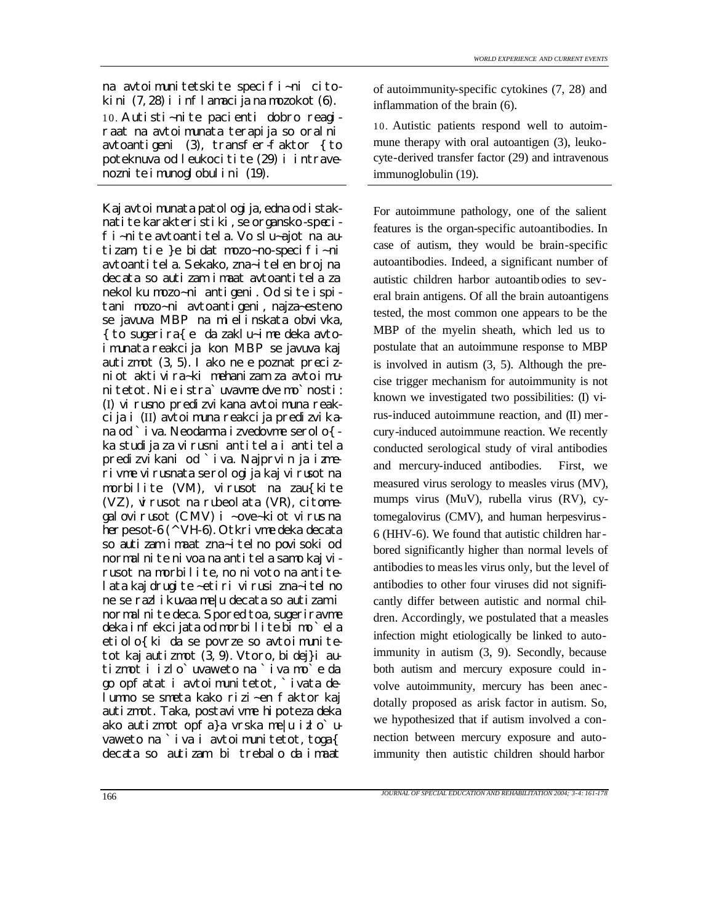na avtoimunitetskite specifi~ni citokini (7, 28) i inflamacija na mozokot (6). 10. Autisti~nite pacienti dobro reagiraat na avtoimunata terapija so oralni avtoantigeni  $(3)$ , transfer-faktor {to poteknuva od leukocitite (29) i intravenozni te i munoglobulini (19).

Kaj avtoi munata patol ogi ja, edna od i staknatite karakteristiki, se organsko-specifi~nite avtoantitela. Vo slu~ajot na autizam, tie }e bidat mozo~no-specifi~ni avtoantitela. Sekako, zna~itelen broj na decata so autizam imaat avtoantitela za nekolku mozo~ni antigeni. Od site ispitani mozo~ni avtoantigeni, najza~esteno se javuva MBP na mielinskata obvivka, {to sugerira{e da zaklu~ime deka avtoimunata reakcija kon MBP se javuva kaj autizmot (3, 5). Iako ne e poznat precizniot aktivira~ki mehanizam za avtoimunitetot. Nie istra`uvavme dve mo`nosti: (I) vi rusno predizvikana avtoimuna reakcija i (II) avtoimuna reakcija predizvikana od `iva. Neodamna izvedovme serolo{ ka studija za virusni antitela i antitela predizvikani od `iva. Najprvin ja izmerivme virusnata serologija kaj virusot na morbilite (VM), virusot na zau{kite  $(VZ)$ , yi rusot na rubeolata  $(VR)$ , citomegalovirusot (CMV) i ~ove~kiot virus na herpesot-6 (^VH-6). Otkrivme deka decata so autizam imaat zna~itelno povisoki od normal ni te ni voa na anti tel a samo kaj virusot na morbilite, no nivoto na antitelata kaj drugite ~etiri virusi zna~itelno ne se razlikuvaa me|u decata so autizam i normal ni te deca. Spored toa, sugeriravme deka infekcijata od morbilite bi mo`ela etiolo{ki da se povrze so avtoimunitetot kaj autizmot (3, 9). Vtoro, bidej}i autizmot i izlo`uvaweto na `iva mo`e da go opfatat i avtoimunitetot, `ivata delumno se smeta kako rizi~en faktor kaj autizmot. Taka, postavi vme hipoteza deka ako autizmot opfa}a vrska me|u izlo`uvaweto na `iva i avtoimunitetot, toga{ decata so autizam bi trebalo da imaat

of autoimmunity-specific cytokines (7, 28) and inflammation of the brain (6).

10. Autistic patients respond well to autoimmune therapy with oral autoantigen (3), leukocyte-derived transfer factor (29) and intravenous immunoglobulin (19).

For autoimmune pathology, one of the salient features is the organ-specific autoantibodies. In case of autism, they would be brain-specific autoantibodies. Indeed, a significant number of autistic children harbor autoantib odies to several brain antigens. Of all the brain autoantigens tested, the most common one appears to be the MBP of the myelin sheath, which led us to postulate that an autoimmune response to MBP is involved in autism (3, 5). Although the precise trigger mechanism for autoimmunity is not known we investigated two possibilities: (I) virus-induced autoimmune reaction, and (II) mercury-induced autoimmune reaction. We recently conducted serological study of viral antibodies and mercury-induced antibodies. First, we measured virus serology to measles virus (MV), mumps virus (MuV), rubella virus (RV), cytomegalovirus (CMV), and human herpesvirus-6 (HHV-6). We found that autistic children harbored significantly higher than normal levels of antibodies to measles virus only, but the level of antibodies to other four viruses did not significantly differ between autistic and normal children. Accordingly, we postulated that a measles infection might etiologically be linked to autoimmunity in autism  $(3, 9)$ . Secondly, because both autism and mercury exposure could involve autoimmunity, mercury has been anec dotally proposed as arisk factor in autism. So, we hypothesized that if autism involved a connection between mercury exposure and autoimmunity then autistic children should harbor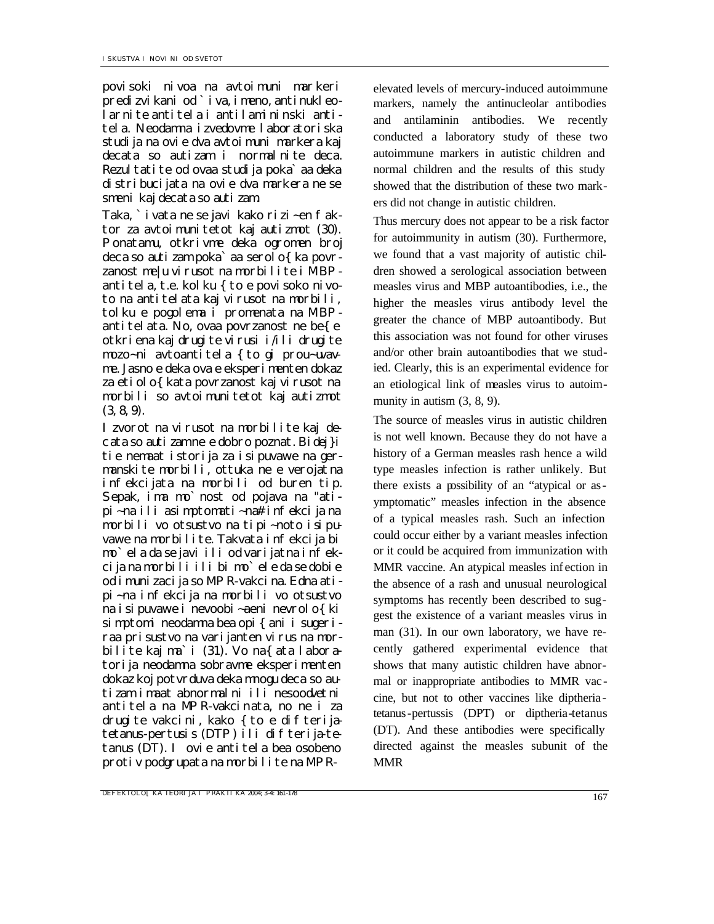povisoki nivoa na avtoimuni markeri predizvikani od `iva, imeno, antinukleolarnite antitela i antilamininski antitela. Neodamna izvedovme laboratoriska studija na ovie dva avtoimuni markera kaj decata so autizam i normalnite deca. Rezul tati te od ovaa studija poka`aa deka distribucijata na ovie dva markera ne se smeni kaj decata so autizam.

Taka, `ivata ne se javi kako rizi~en faktor za avtoimunitetot kaj autizmot (30). Ponatamu, otkrivme deka ogromen broj deca so autizam poka`aa serolo{ka povrzanost me|u virusot na morbilite i MBPantitela, t.e. kolku  $\{$  to e povisoko nivoto na antitelata kaj virusot na morbili, tolku e pogolema i promenata na MBPantitelata. No, ovaa povrzanost ne be{e otkriena kaj drugite virusi i/ili drugite mozo~ni avtoantitela {to gi prou~uvavme. Jasno e deka ova e eksperimenten dokaz za etiolo{kata povrzanost kaj virusot na morbili so avtoimunitetot kaj autizmot (3, 8, 9).

Izvorot na virusot na morbilite kaj decata so autizam ne e dobro poznat. Bidej}i tie nemaat istorija za isipuvawe na germanskite morbili, ottuka ne e verojatna infekcijata na morbili od buren tip. Sepak, ima mo`nost od pojava na "atipi~na ili asimptomati~na# infekcija na morbili vo otsustvo na tipi~noto isipuvawe na morbilite. Takvata infekcija bi mo`ela da se javi ili od varijatna infekcija na morbili ili bi mo`ele da se dobie od imunizacija so MPR-vakcina. Edna atipi~na infekcija na morbili vo otsustvo na isipuvawe i nevoobi~aeni nevrolo{ki simptomi neodamna bea opi{ani i sugeriraa prisustvo na varijanten virus na morbilite kaj ma`i (31). Vo na{ata laboratorija neodamna sobravme eksperimenten dokaz koj potvrduva deka mnogu deca so autizam imaat abnormalni ili nesoodvetni antitela na MPR-vakcinata, no ne i za drugite vakcini, kako { to e difterijatetanus-pertusis (DTP) ili difterija-tetanus (DT). I ovie antitela bea osobeno protiv podgrupata na morbilite na MPR-

elevated levels of mercury-induced autoimmune markers, namely the antinucleolar antibodies and antilaminin antibodies. We recently conducted a laboratory study of these two autoimmune markers in autistic children and normal children and the results of this study showed that the distribution of these two markers did not change in autistic children.

Thus mercury does not appear to be a risk factor for autoimmunity in autism (30). Furthermore, we found that a vast majority of autistic children showed a serological association between measles virus and MBP autoantibodies, i.e., the higher the measles virus antibody level the greater the chance of MBP autoantibody. But this association was not found for other viruses and/or other brain autoantibodies that we studied. Clearly, this is an experimental evidence for an etiological link of measles virus to autoimmunity in autism  $(3, 8, 9)$ .

The source of measles virus in autistic children is not well known. Because they do not have a history of a German measles rash hence a wild type measles infection is rather unlikely. But there exists a possibility of an "atypical or asymptomatic" measles infection in the absence of a typical measles rash. Such an infection could occur either by a variant measles infection or it could be acquired from immunization with MMR vaccine. An atypical measles inf ection in the absence of a rash and unusual neurological symptoms has recently been described to suggest the existence of a variant measles virus in man (31). In our own laboratory, we have recently gathered experimental evidence that shows that many autistic children have abnormal or inappropriate antibodies to MMR vac cine, but not to other vaccines like diptheria tetanus-pertussis (DPT) or diptheria-tetanus (DT). And these antibodies were specifically directed against the measles subunit of the MMR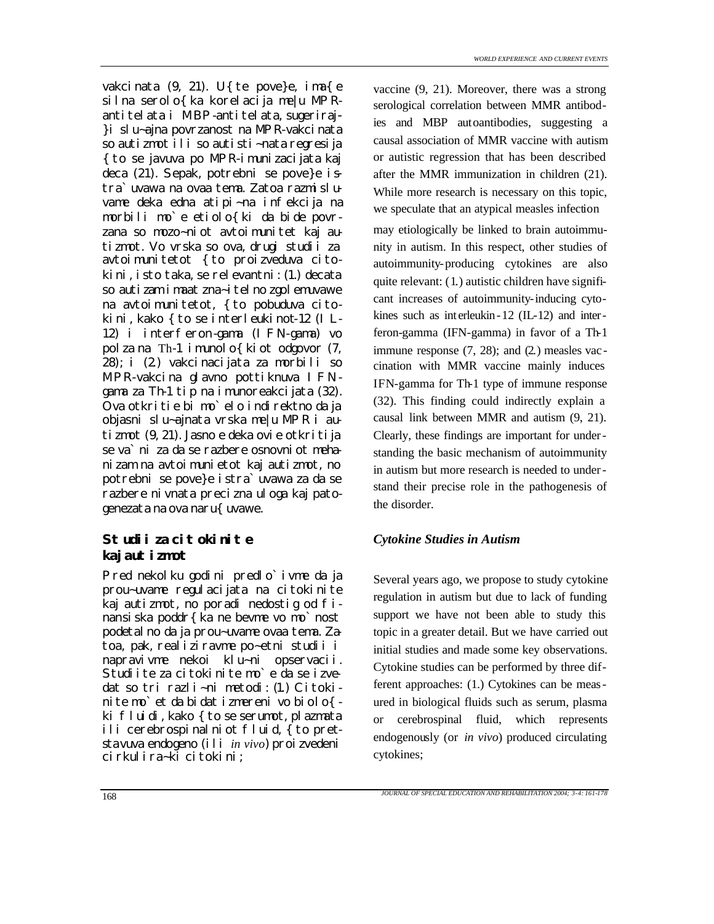vakcinata  $(9, 21)$ . U{te pove}e, ima{e silna serolo{ka korelacija me|u MPRantitelata i MBP-antitelata, sugeriraj-}i slu~ajna povrzanost na MPR-vakcinata so autizmot ili so autisti~nata regresija {to se javuva po MPR-imunizacijata kaj deca (21). Sepak, potrebni se pove}e istra`uvawa na ovaa tema. Zatoa razmisluvame deka edna atipi~na infekcija na morbili mo`e etiolo{ki da bide povrzana so mozo~niot avtoimunitet kaj autizmot. Vo vrska so ova, drugi studii za avtoimunitetot {to proizveduva citokini, isto taka, se relevantni: (1.) decata so autizam imaat zna~itelno zgolemuvawe na avtoi munitetot, { to pobuduva citokini, kako { to se interleukinot-12 (IL-12) i interferon-gama (IFN-gama) vo polza na Th-1 imunolo{kiot odgovor (7, 28); i (2.) vakcinacijata za morbili so MPR-vakcina glavno pottiknuva IFNgama za Th-1 tip na imunoreakcijata (32). Ova otkritie bi mo`elo indirektno da ja objasni slu~ajnata vrska me|u MPR i autizmot (9, 21). Jasno e deka ovie otkritija se va`ni za da se razbere osnovniot mehanizam na avtoimunietot kaj autizmot, no potrebni se pove}e istra`uvawa za da se razbere nivnata precizna uloga kaj patogenezata na ova naru{uvawe.

# *Studii za citokinite kaj autizmot*

Pred nekolku godini predlo`ivme da ja prou~uvame regulacijata na citokinite kaj autizmot, no poradi nedostig od finansiska poddr{ka ne bevme vo mo`nost podetalno da ja prou~uvame ovaa tema. Zatoa, pak, realiziravme po~etni studii i napravivme nekoi klu~ni opservacii. Studiite za citokinite mo`e da se izvedat so tri razli~ni metodi: (1.) Citokinite mo`et da bidat izmereni vo biolo{ ki fluidi, kako { to se serumot, plazmata ili cerebrospinalniot fluid, { to pretstavuva endogeno (ili *in vivo)* proizvedeni cirkulira~ki citokini;

vaccine (9, 21). Moreover, there was a strong serological correlation between MMR antibodies and MBP autoantibodies, suggesting a causal association of MMR vaccine with autism or autistic regression that has been described after the MMR immunization in children (21). While more research is necessary on this topic, we speculate that an atypical measles infection

may etiologically be linked to brain autoimmunity in autism. In this respect, other studies of autoimmunity-producing cytokines are also quite relevant: (1.) autistic children have significant increases of autoimmunity-inducing cytokines such as int erleukin-12 (IL-12) and interferon-gamma (IFN-gamma) in favor of a Th-1 immune response (7, 28); and (2.) measles vac cination with MMR vaccine mainly induces IFN-gamma for Th-1 type of immune response (32). This finding could indirectly explain a causal link between MMR and autism (9, 21). Clearly, these findings are important for understanding the basic mechanism of autoimmunity in autism but more research is needed to understand their precise role in the pathogenesis of the disorder.

# *Cytokine Studies in Autism*

Several years ago, we propose to study cytokine regulation in autism but due to lack of funding support we have not been able to study this topic in a greater detail. But we have carried out initial studies and made some key observations. Cytokine studies can be performed by three different approaches: (1.) Cytokines can be measured in biological fluids such as serum, plasma or cerebrospinal fluid, which represents endogenously (or *in vivo*) produced circulating cytokines;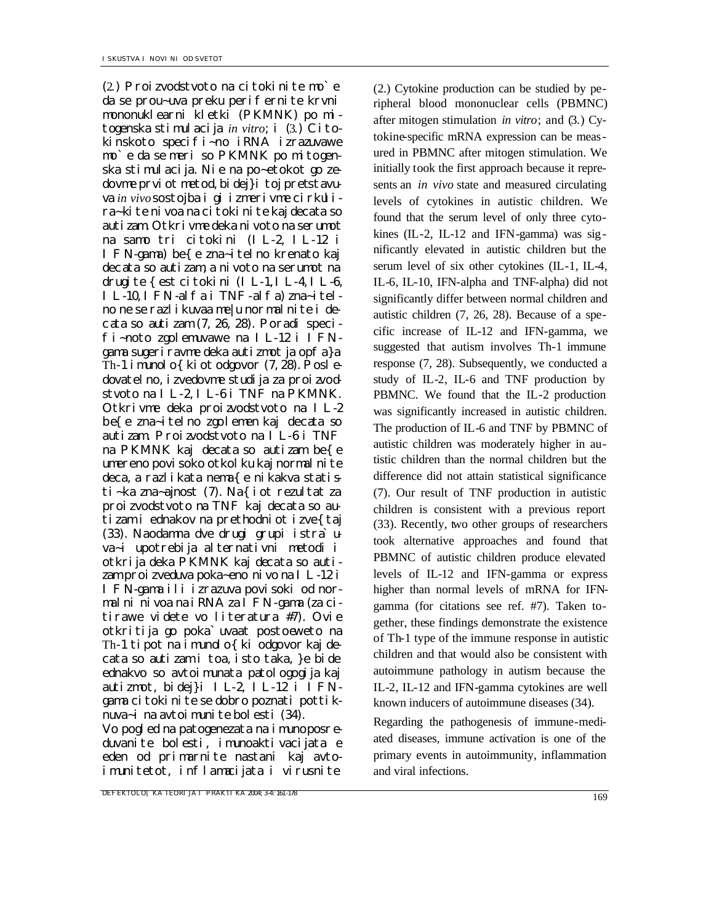(2.) Proizvodstvoto na citokinite mo`e da se prou~uva preku perifernite krvni mononuklearni kletki (PKMNK) po mitogenska stimulacija *in vitro*; i (3.) Citokinskoto specifi~no iRNA izrazuvawe mo`e da se meri so PKMNK po mitogenska stimulacija. Nie na po~etokot go zedovme prviot metod, bidej}i toj pretstavuva *in vivo* sostojba i gi izmerivme cirkulira~kite nivoa na citokinite kaj decata so autizam. Otkrivme deka nivoto na serumot na samo tri citokini (IL-2, IL-12 i IFN-gama) be{e zna~itelno krenato kaj decata so autizam, a nivoto na serumot na drugite  $\{est\ c\it{i}\,toki\,ni\ (I L-1, I L-4, I L-6,$ IL-10, IFN-alfa i TNF-alfa) zna~itelno ne se razlikuvaa me|u normalnite i decata so autizam (7, 26, 28). Poradi specifi~noto zgolemuvawe na IL-12 i IFNgama sugeriravme deka autizmot ja opfa}a Th-1 imunolo{ kiot odgovor  $(7, 28)$ . Posledovatelno, i zvedovme studija za proizvodstvoto na IL-2, IL-6 i TNF na PKMNK. Otkrivme deka proizvodstvoto na IL-2 be{e zna~itelno zgolemen kaj decata so autizam. Proizvodstvoto na IL-6 i TNF na PKMNK kaj decata so autizam be{e umereno povi soko otkol ku kaj normal ni te deca, a razlikata nema{e nikakva statisti~ka zna~ajnost (7). Na{iot rezultat za proizvodstvoto na TNF kaj decata so autizam i ednakov na prethodniot izve{taj (33). Naodamna dve drugi grupi istra`uva~i upotrebija alternativni metodi i otkrija deka PKMNK kaj decata so autizam proizveduva poka~eno nivo na IL-12 i IFN-gama ili izrazuva povisoki od normalni nivoa na iRNA za IFN-gama (za citirawe videte vo literatura #7). Ovie otkritija go poka`uvaat postoeweto na Th-1 tipot na imunolo{ki odgovor kaj decata so autizam i toa, isto taka, }e bide ednakvo so avtoimunata patologogija kaj autizmot, bidej}i IL-2, IL-12 i IFNgama citokinite se dobro poznati pottiknuva~i na avtoimunite bolesti (34).

Vo pogled na patogenezata na imunoposreduvanite bolesti, imunoaktivacijata e eden od primarnite nastani kaj avtoimunitetot, inflamacijata i virusnite

(2.) Cytokine production can be studied by peripheral blood mononuclear cells (PBMNC) after mitogen stimulation *in vitro*; and (3.) Cytokine-specific mRNA expression can be measured in PBMNC after mitogen stimulation. We initially took the first approach because it represents an *in vivo* state and measured circulating levels of cytokines in autistic children. We found that the serum level of only three cytokines (IL-2, IL-12 and IFN-gamma) was significantly elevated in autistic children but the serum level of six other cytokines (IL-1, IL-4, IL-6, IL-10, IFN-alpha and TNF-alpha) did not significantly differ between normal children and autistic children (7, 26, 28). Because of a specific increase of IL-12 and IFN-gamma, we suggested that autism involves Th-1 immune response (7, 28). Subsequently, we conducted a study of IL-2, IL-6 and TNF production by PBMNC. We found that the IL-2 production was significantly increased in autistic children. The production of IL-6 and TNF by PBMNC of autistic children was moderately higher in autistic children than the normal children but the difference did not attain statistical significance (7). Our result of TNF production in autistic children is consistent with a previous report (33). Recently, two other groups of researchers took alternative approaches and found that PBMNC of autistic children produce elevated levels of IL-12 and IFN-gamma or express higher than normal levels of mRNA for IFNgamma (for citations see ref. #7). Taken together, these findings demonstrate the existence of Th-1 type of the immune response in autistic children and that would also be consistent with autoimmune pathology in autism because the IL-2, IL-12 and IFN-gamma cytokines are well

Regarding the pathogenesis of immune-mediated diseases, immune activation is one of the primary events in autoimmunity, inflammation and viral infections.

known inducers of autoimmune diseases (34).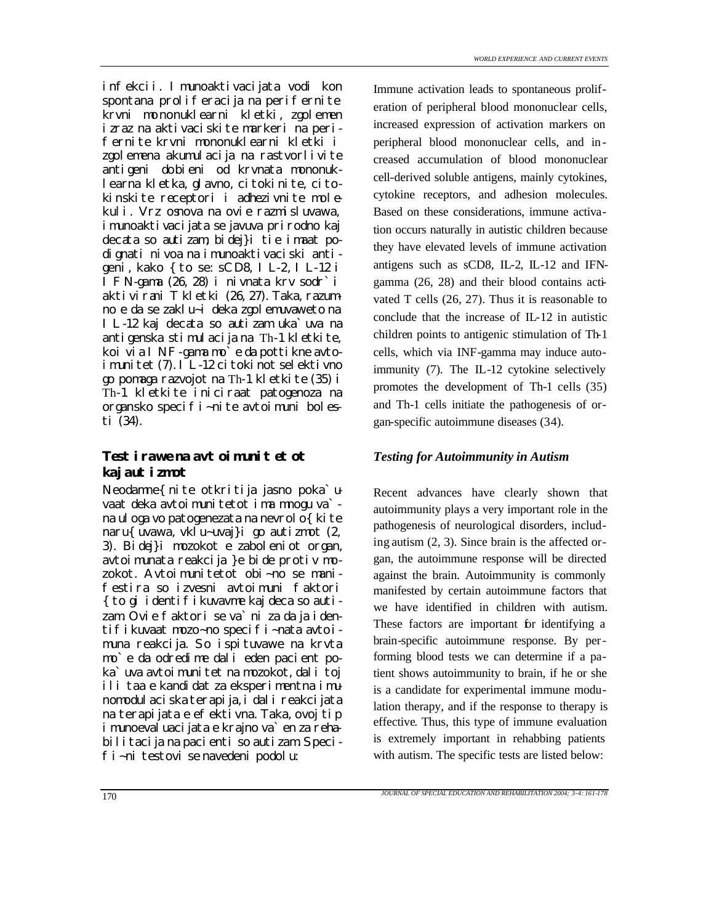infekcii. Imunoaktivacijata vodi kon spontana proliferacija na perifernite krvni mononuklearni kletki, zgolemen izraz na aktivaciskite markeri na perifernite krvni mononuklearni kletki i zgolemena akumulacija na rastvorlivite antigeni dobieni od krvnata mononuklearna kletka, glavno, citokinite, citokinskite receptori i adhezivnite molekuli. Vrz osnova na ovie razmisluvawa, imunoaktivacijata se javuva prirodno kaj decata so autizam, bidej}i tie imaat podignati nivoa na imunoaktivaciski antigeni, kako {to se: sCD8, IL-2, IL-12 i IFN-gama (26, 28) i nivnata krv sodr`i aktivirani T kletki (26, 27). Taka, razumno e da se zaklu~i deka zgolemuvaweto na IL-12 kaj decata so autizam uka`uva na antigenska stimulacija na Th-1 kletkite, koi via INF-gama mo<sup>'</sup> e da pottikne avtoi munitet (7). IL-12 citokinot selektivno go pomaga razvojot na Th-1 kletkite (35) i Th-1 kletkite iniciraat patogenoza na organsko specifi~nite avtoimuni bolesti (34).

# *Testirawe na avtoimunitetot kaj autizmot*

Neodamne{nite otkritija jasno poka`uvaat deka avtoimunitetot ima mnogu va` na uloga vo patogenezata na nevrol o{ ki te naru{ uvawa, vklu~uvaj}i go autizmot (2, 3). Bidej}i mozokot e zaboleniot organ, avtoi munata reakcija }e bide protiv mozokot. Avtoimunitetot obi~no se manifestira so izvesni avtoimuni faktori {to gi identifikuvavme kaj deca so autizam. Ovie faktori se va`ni za da ja identifikuvaat mozo~no specifi~nata avtoimuna reakcija. So ispituvawe na krvta mo`e da odredime dali eden pacient poka`uva avtoimunitet na mozokot, dali toj ili taa e kandidat za eksperimentna imunomodulaciska terapija, i dali reakcijata na terapijata e efektivna. Taka, ovoj tip i munoeval uacijata e krajno va`en za rehabilitacija na pacienti so autizam. Specifi~ni testovi se navedeni podolu:

Immune activation leads to spontaneous proliferation of peripheral blood mononuclear cells, increased expression of activation markers on peripheral blood mononuclear cells, and in creased accumulation of blood mononuclear cell-derived soluble antigens, mainly cytokines, cytokine receptors, and adhesion molecules. Based on these considerations, immune activation occurs naturally in autistic children because they have elevated levels of immune activation antigens such as sCD8, IL-2, IL-12 and IFNgamma (26, 28) and their blood contains activated T cells (26, 27). Thus it is reasonable to conclude that the increase of IL-12 in autistic children points to antigenic stimulation of Th-1 cells, which via INF-gamma may induce autoimmunity (7). The IL-12 cytokine selectively promotes the development of Th-1 cells (35) and Th-1 cells initiate the pathogenesis of organ-specific autoimmune diseases (34).

### *Testing for Autoimmunity in Autism*

Recent advances have clearly shown that autoimmunity plays a very important role in the pathogenesis of neurological disorders, including autism (2, 3). Since brain is the affected organ, the autoimmune response will be directed against the brain. Autoimmunity is commonly manifested by certain autoimmune factors that we have identified in children with autism. These factors are important for identifying a brain-specific autoimmune response. By performing blood tests we can determine if a patient shows autoimmunity to brain, if he or she is a candidate for experimental immune modulation therapy, and if the response to therapy is effective. Thus, this type of immune evaluation is extremely important in rehabbing patients with autism. The specific tests are listed below: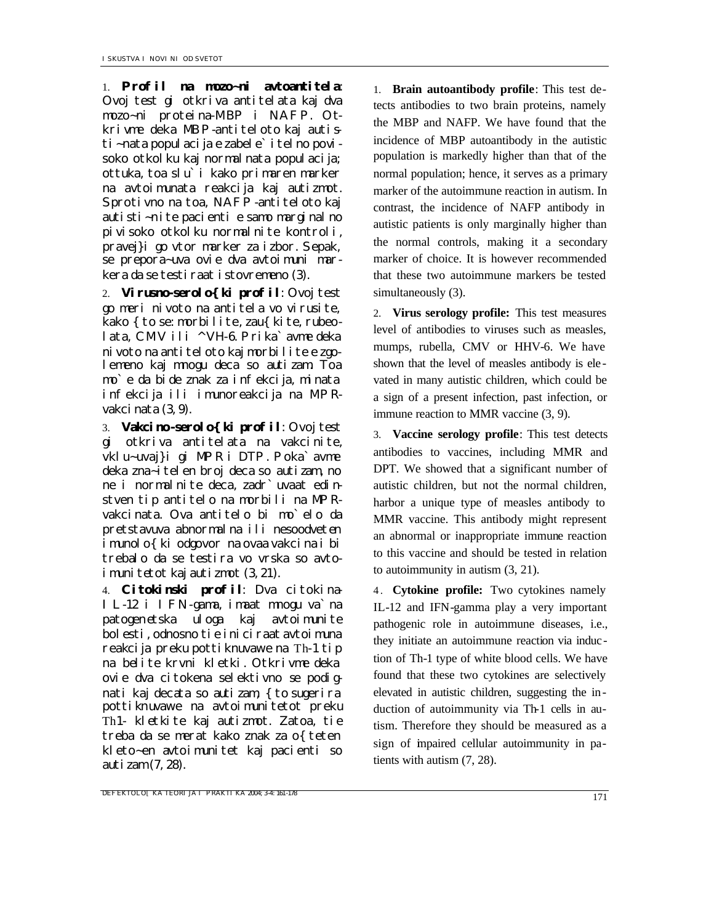1. **Profil na mozo~ni avtoantitela**: Ovoj test gi otkriva antitelata kaj dva mozo~ni proteina-MBP i NAFP. Otkrivme deka MBP-antiteloto kaj autisti~nata populacija e zabele`itelno povisoko otkolku kaj normalnata populacija; ottuka, toa slu`i kako primaren marker na avtoimunata reakcija kaj autizmot. Sprotivno na toa, NAFP-antiteloto kaj autisti~nite pacienti e samo marginalno pivisoko otkolku normalnite kontroli, pravej}i go vtor marker za izbor. Sepak, se prepora~uva ovie dva avtoimuni markera da se testiraat istovremeno (3).

2. **Virusno-serolo{ki profil**: Ovoj test go meri nivoto na antitela vo virusite, kako { to se: morbilite, zau{ kite, rubeolata, CMV ili ^VH-6. Prika`avme deka nivoto na antiteloto kaj morbilite e zgolemeno kaj mnogu deca so autizam. Toa mo`e da bide znak za infekcija, minata infekcija ili imunoreakcija na MPRvakcinata (3, 9).

3. **Vakcino-serolo{ki profil**: Ovoj test gi otkriva antitelata na vakcinite, vklu~uvaj}i gi MPR i DTP. Poka`avme deka zna~itelen broj deca so autizam, no ne i normalnite deca, zadr`uvaat edinstven tip antitelo na morbili na MPRvakcinata. Ova antitelo bi mo`elo da pretstavuva abnormalna ili nesoodveten imunolo{ki odgovor na ovaa vakcina i bi trebalo da se testira vo vrska so avtoimunitetot kaj autizmot (3, 21).

4. **Citokinski profil**: Dva citokina-IL-12 i IFN-gama, imaat mnogu va`na patogenetska uloga kaj avtoimunite bolesti, odnosno tie iniciraat avtoimuna reakcija preku pottiknuvawe na Th-1 tip na belite krvni kletki. Otkrivme deka ovie dva citokena selektivno se podignati kaj decata so autizam, { to sugerira potti knuvawe na avtoi muni tetot preku Th1- kletkite kaj autizmot. Zatoa, tie treba da se merat kako znak za o{teten kleto~en avtoimunitet kaj pacienti so autizam (7, 28).

1. **Brain autoantibody profile**: This test detects antibodies to two brain proteins, namely the MBP and NAFP. We have found that the incidence of MBP autoantibody in the autistic population is markedly higher than that of the normal population; hence, it serves as a primary marker of the autoimmune reaction in autism. In contrast, the incidence of NAFP antibody in autistic patients is only marginally higher than the normal controls, making it a secondary marker of choice. It is however recommended that these two autoimmune markers be tested simultaneously (3).

2. **Virus serology profile:** This test measures level of antibodies to viruses such as measles, mumps, rubella, CMV or HHV-6. We have shown that the level of measles antibody is ele vated in many autistic children, which could be a sign of a present infection, past infection, or immune reaction to MMR vaccine (3, 9).

3. **Vaccine serology profile**: This test detects antibodies to vaccines, including MMR and DPT. We showed that a significant number of autistic children, but not the normal children, harbor a unique type of measles antibody to MMR vaccine. This antibody might represent an abnormal or inappropriate immune reaction to this vaccine and should be tested in relation to autoimmunity in autism (3, 21).

4 . **Cytokine profile:** Two cytokines namely IL-12 and IFN-gamma play a very important pathogenic role in autoimmune diseases, i.e., they initiate an autoimmune reaction via induction of Th-1 type of white blood cells. We have found that these two cytokines are selectively elevated in autistic children, suggesting the induction of autoimmunity via Th-1 cells in autism. Therefore they should be measured as a sign of impaired cellular autoimmunity in patients with autism (7, 28).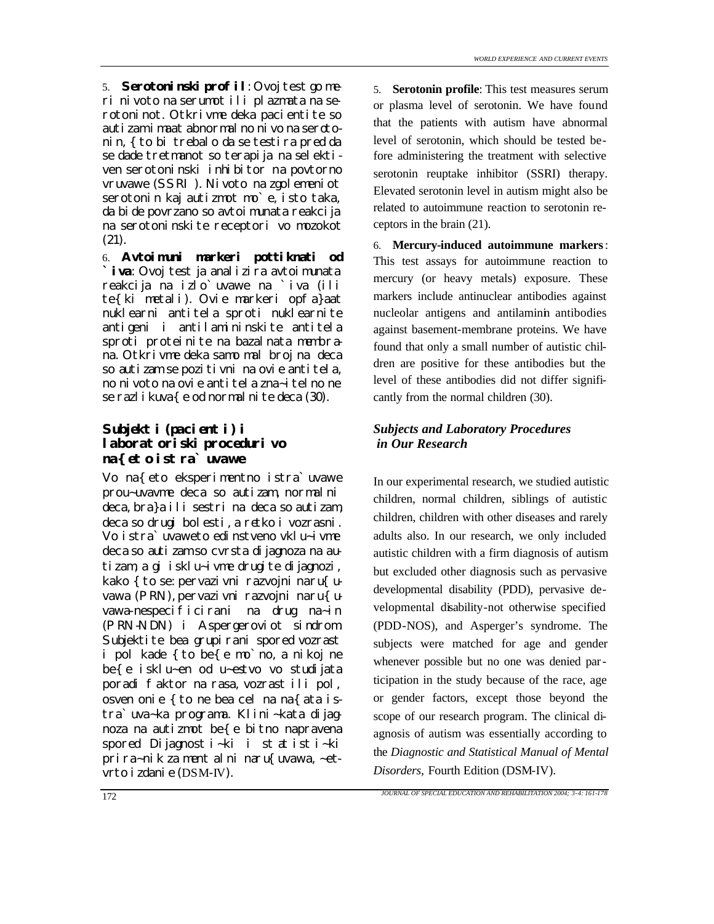5. **Serotoninski profil**: Ovoj test go meri nivoto na serumot ili plazmata na serotoninot. Otkrivme deka pacientite so autizam i maat abnormal no ni vo na serotonin, {to bi trebalo da se testira pred da se dade tretmanot so terapija na selektiven serotoninski inhibitor na povtorno vruvawe (SSRI). Nivoto na zgolemeniot serotonin kaj autizmot mo`e, isto taka, da bide povrzano so avtoimunata reakcija na serotoninskite receptori vo mozokot (21).

6. **Avtoimuni markeri pottiknati od `iva**: Ovoj test ja analizira avtoimunata reakcija na izlo`uvawe na `iva (ili te{ki metali). Ovie markeri opfa}aat nuklearni antitela sproti nuklearnite antigeni i antilamininskite antitela sproti proteinite na bazalnata membrana. Otkrivme deka samo mal broj na deca so autizam se pozitivni na ovie antitela, no nivoto na ovie antitela zna~itelno ne se razlikuva{e od normalnite deca (30).

# *Subjekti (pacienti) i laboratoriski proceduri vo na{eto istra`uvawe*

Vo na{eto eksperimentno istra`uvawe prou~uvavme deca so autizam, normalni deca, bra}a ili sestri na deca so autizam, deca so drugi bolesti, a retko i vozrasni. Vo istra`uvaweto edinstveno vklu~ivme deca so autizam so cvrsta dijagnoza na autizam, a gi isklu~ivme drugite dijagnozi, kako { to se: pervazivni razvojni naru{uvawa (PRN), pervazivni razvojni naru{uvawa-nespecificirani na drug na~in (PRN-NDN) i Aspergeroviot sindrom. Subjektite bea grupirani spored vozrast i pol kade {to be{e mo`no, a nikoj ne be{e isklu~en od u~estvo vo studijata poradi faktor na rasa, vozrast ili pol, osven onie {to ne bea cel na na{ata istra`uva~ka programa. Klini~kata dijagnoza na autizmot be{e bitno napravena spored *Dijagnosti~ki i statisti~ki prira~nik za mentalni naru{uvawa,* ~etvrto izdanie (DSM-IV).

5. **Serotonin profile**: This test measures serum or plasma level of serotonin. We have found that the patients with autism have abnormal level of serotonin, which should be tested before administering the treatment with selective serotonin reuptake inhibitor (SSRI) therapy. Elevated serotonin level in autism might also be related to autoimmune reaction to serotonin receptors in the brain (21).

6. **Mercury-induced autoimmune markers**: This test assays for autoimmune reaction to mercury (or heavy metals) exposure. These markers include antinuclear antibodies against nucleolar antigens and antilaminin antibodies against basement-membrane proteins. We have found that only a small number of autistic children are positive for these antibodies but the level of these antibodies did not differ significantly from the normal children (30).

# *Subjects and Laboratory Procedures in Our Research*

In our experimental research, we studied autistic children, normal children, siblings of autistic children, children with other diseases and rarely adults also. In our research, we only included autistic children with a firm diagnosis of autism but excluded other diagnosis such as pervasive developmental disability (PDD), pervasive developmental disability-not otherwise specified (PDD-NOS), and Asperger's syndrome. The subjects were matched for age and gender whenever possible but no one was denied participation in the study because of the race, age or gender factors, except those beyond the scope of our research program. The clinical diagnosis of autism was essentially according to the *Diagnostic and Statistical Manual of Mental Disorders,* Fourth Edition (DSM-IV).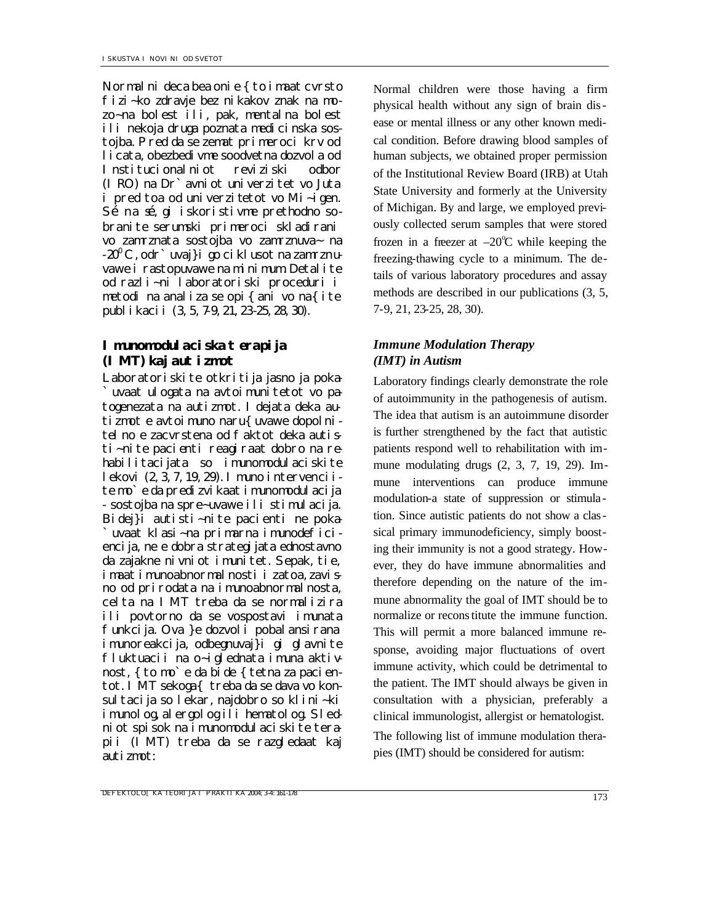Normal ni deca bea onie { to imaat cvrsto fizi~ko zdravje bez nikakov znak na mozo~na bolest ili, pak, mentalna bolest ili nekoja druga poznata medicinska sostojba. Pred da se zemat primeroci krv od licata, obezbedivme soodvetna dozvola od Institucionalniot reviziski odbor (IRO) na Dr`avniot univerzitet vo Juta i pred toa od univerzitetot vo Mi~igen. Sé na sé, gi iskoristivme prethodno sobranite serumski primeroci skladirani vo zamrznata sostojba vo zamrznuva~ na  $-20^{\circ}$  C, odr`uvaj}i go ciklusot na zamrznuvawe i rastopuvawe na minimum. Detalite od razli~ni laboratoriski proceduri i metodi na analiza se opi{ani vo na{ite publikacii (3, 5, 7-9, 21, 23-25, 28, 30).

# *Imunomodulaciska terapija (IMT) kaj autizmot*

Laboratoriski te otkri ti ja jasno ja poka-`uvaat ulogata na avtoimunitetot vo patogenezata na autizmot. I dejata deka autizmot e avtoimuno naru{uvawe dopolni tel no e zacvrstena od f aktot deka autisti~nite pacienti reagiraat dobro na rehabilitacijata so imunomodulaciskite lekovi (2, 3, 7, 19, 29). Imuno intervenciite mo`e da predizvikaat imunomodulacija - sostojba na spre~uvawe ili stimulacija. Bidej}i autisti~nite pacienti ne poka- `uvaat klasi~na primarna imunodeficiencija, ne e dobra strategijata ednostavno da zajakne nivniot imunitet. Sepak, tie, imaat imunoabnormalnosti i zatoa, zavisno od prirodata na imunoabnormalnosta, celta na IMT treba da se normalizira ili povtorno da se vospostavi imunata funkcija. Ova }e dozvoli pobalansirana imunoreakcija, odbegnuvaj}i gi glavnite fluktuacii na o~iglednata imuna aktivnost, { to mo`e da bide { tetna za pacientot. IMT sekoga{ treba da se dava vo konsultacija so lekar, najdobro so klini~ki imunolog, alergolog ili hematolog. Sledniot spisok na imunomodulaciskite terapii (IMT) treba da se razgledaat kaj autizmot:

Normal children were those having a firm physical health without any sign of brain disease or mental illness or any other known medical condition. Before drawing blood samples of human subjects, we obtained proper permission of the Institutional Review Board (IRB) at Utah State University and formerly at the University of Michigan. By and large, we employed previously collected serum samples that were stored frozen in a freezer at  $-20^{\circ}$ C while keeping the freezing-thawing cycle to a minimum. The details of various laboratory procedures and assay methods are described in our publications (3, 5, 7-9, 21, 23-25, 28, 30).

# *Immune Modulation Therapy (IMT) in Autism*

Laboratory findings clearly demonstrate the role of autoimmunity in the pathogenesis of autism. The idea that autism is an autoimmune disorder is further strengthened by the fact that autistic patients respond well to rehabilitation with immune modulating drugs (2, 3, 7, 19, 29). Immune interventions can produce immune modulation-a state of suppression or stimula tion. Since autistic patients do not show a classical primary immunodeficiency, simply boosting their immunity is not a good strategy. However, they do have immune abnormalities and therefore depending on the nature of the immune abnormality the goal of IMT should be to normalize or reconstitute the immune function. This will permit a more balanced immune response, avoiding major fluctuations of overt immune activity, which could be detrimental to the patient. The IMT should always be given in consultation with a physician, preferably a clinical immunologist, allergist or hematologist.

The following list of immune modulation therapies (IMT) should be considered for autism: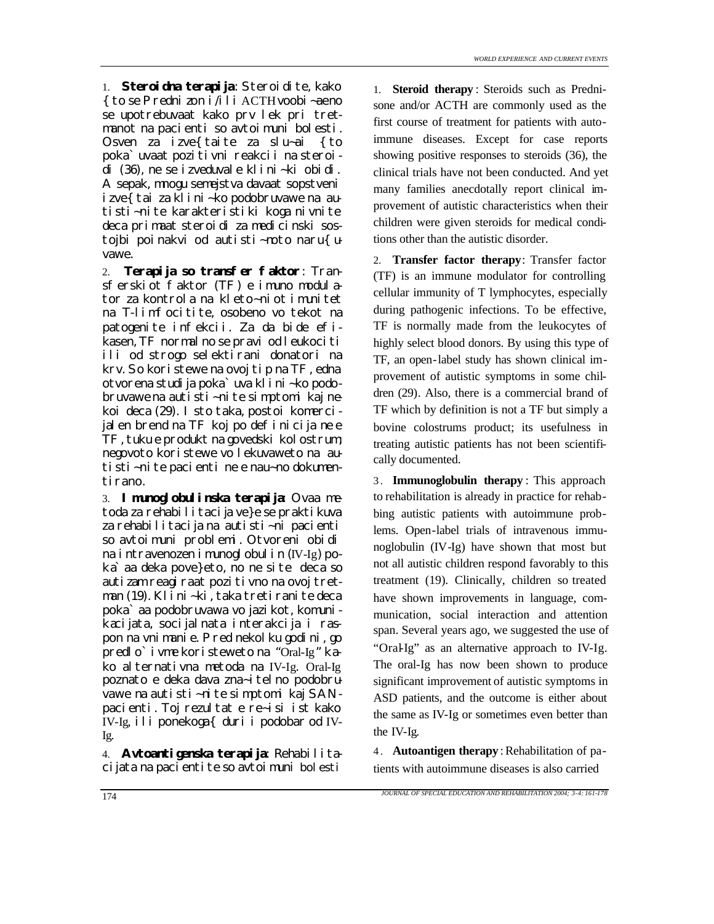1. **Steroidna terapija**: Steroidite, kako {to se Prednizon i/ili ACTH voobi~aeno se upotrebuvaat kako prv lek pri tretmanot na pacienti so avtoimuni bolesti. Osven za izve{ taite za slu~ai { to poka`uvaat pozitivni reakcii na steroidi (36), ne se izveduvale klini~ki obidi. A sepak, mnogu semejstva davaat sopstveni izve{ tai za klini~ko podobruvawe na autisti~nite karakteristiki koga nivnite deca primaat steroidi za medicinski sostojbi poinakvi od autisti~noto naru{uvawe.

2. **Terapija so transfer faktor**: Transferskiot faktor (TF) e imuno modulator za kontrola na kleto~niot imunitet na T-limfocitite, osobeno vo tekot na patogenite infekcii. Za da bide efikasen, TF normalno se pravi od leukociti ili od strogo selektirani donatori na krv. So koristewe na ovoj tip na TF, edna otvorena studija poka`uva klini~ko podobruvawe na autisti~nite simptomi kaj nekoi deca (29). I sto taka, postoi komercijalen brend na TF koj po definicija ne e TF, tuku e produkt na govedski kolostrum; negovoto koristewe vo lekuvaweto na autisti~nite pacienti ne e nau~no dokumentirano.

3. **Imunoglobulinska terapija**: Ovaa metoda za rehabilitacija ve}e se praktikuva za rehabilitacija na autisti~ni pacienti so avtoimuni problemi. Otvoreni obidi na intravenozen imunoglobulin (IV-Ig) poka`aa deka pove}eto, no ne site deca so autizam reagiraat pozitivno na ovoj tretman (19). Klini~ki, taka tretiranite deca poka`aa podobruvawa vo jazikot, komunikacijata, socijalnata interakcija i raspon na vnimanie. Pred nekolku godini, go predlo`ivme koristeweto na "Oral-Ig" kako alternativna metoda na IV-Ig. Oral-Ig poznato e deka dava zna~itelno podobruvawe na autisti~nite simptomi kaj SANpacienti. Toj rezultat e re~isi ist kako IV-Ig, ili ponekoga{ duri i podobar od IV-Ig.

4. **Avtoantigenska terapija**: Rehabilitacijata na pacientite so avtoimuni bolesti 1. **Steroid therapy** : Steroids such as Prednisone and/or ACTH are commonly used as the first course of treatment for patients with autoimmune diseases. Except for case reports showing positive responses to steroids (36), the clinical trials have not been conducted. And yet many families anecdotally report clinical improvement of autistic characteristics when their children were given steroids for medical conditions other than the autistic disorder.

2. **Transfer factor therapy**: Transfer factor (TF) is an immune modulator for controlling cellular immunity of T lymphocytes, especially during pathogenic infections. To be effective, TF is normally made from the leukocytes of highly select blood donors. By using this type of TF, an open-label study has shown clinical improvement of autistic symptoms in some children (29). Also, there is a commercial brand of TF which by definition is not a TF but simply a bovine colostrums product; its usefulness in treating autistic patients has not been scientifically documented.

3 . **Immunoglobulin therapy** : This approach to rehabilitation is already in practice for rehabbing autistic patients with autoimmune problems. Open-label trials of intravenous immunoglobulin (IV-Ig) have shown that most but not all autistic children respond favorably to this treatment (19). Clinically, children so treated have shown improvements in language, communication, social interaction and attention span. Several years ago, we suggested the use of "Oral-Ig" as an alternative approach to IV-Ig. The oral-Ig has now been shown to produce significant improvement of autistic symptoms in ASD patients, and the outcome is either about the same as IV-Ig or sometimes even better than the IV-Ig.

4 . **Autoantigen therapy** :Rehabilitation of patients with autoimmune diseases is also carried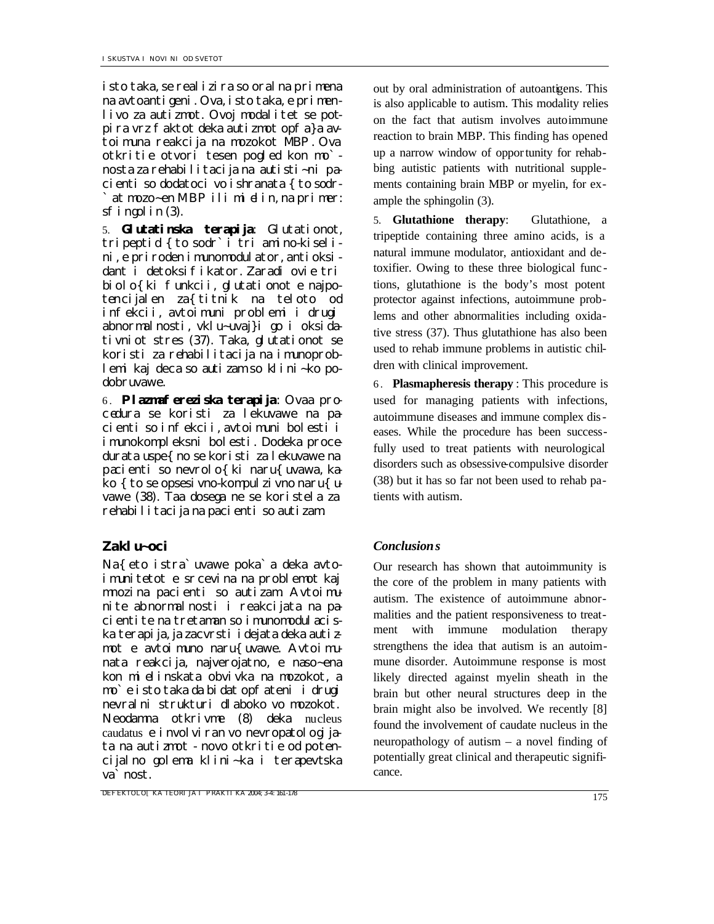isto taka, se realizira so oralna primena na avtoantigeni. Ova, isto taka, e primenlivo za autizmot. Ovoj modalitet se potpira vrz faktot deka autizmot opfa}a avtoimuna reakcija na mozokot MBP. Ova otkritie otvori tesen pogled kon mo` nosta za rehabilitacija na autisti~ni pacienti so dodatoci vo ishranata { to sodr-`at mozo~en MBP ili mi elin, na primer:

sfingolin (3).

5. **Glutatinska terapija**: Glutationot, tripeptid {to sodr`i tri amino-kiselini, e priroden imunomodulator, antioksidant i detoksifikator. Zaradi ovie tri biolo{ki funkcii, glutationot e najpotencijalen za{titnik na teloto od infekcii, avtoimuni problemi i drugi abnormalnosti, vklu~uvaj}i go i oksidativniot stres (37). Taka, glutationot se koristi za rehabilitacija na imunoproblemi kaj deca so autizam so klini~ko podobruvawe.

6 . **Plazmafereziska terapija**: Ovaa procedura se koristi za lekuvawe na pacienti so infekcii, avtoimuni bolesti i imunokompleksni bolesti. Dodeka procedurata uspe{no se koristi za lekuvawe na pacienti so nevrolo{ ki naru{uvawa, ka- $\overline{k}$ o { to se opsesivno-kompulzivno naru{uvawe (38). Taa dosega ne se koristela za rehabilitacija na pacienti so autizam.

Na{eto istra`uvawe poka`a deka avtoimunitetot e srcevina na problemot kaj mnozina pacienti so autizam. Avtoimunite abnormalnosti i reakcijata na pacientite na tretaman so imunomodulaciska terapija, ja zacvrsti i dejata deka autizmot e avtoimuno naru{uvawe. Avtoimunata reakcija, najverojatno, e naso~ena kon mi elinskata obvivka na mozokot, a mo`e isto taka da bidat opfateni i drugi nevralni strukturi dlaboko vo mozokot. Neodamna otkrivme (8) deka nucleus caudatus e i nvolviran vo nevropatologijata na autizmot - novo otkritie od potencijalno golema klini~ka i terapevtska va` nost.

out by oral administration of autoantigens. This is also applicable to autism. This modality relies on the fact that autism involves autoimmune reaction to brain MBP. This finding has opened up a narrow window of opportunity for rehabbing autistic patients with nutritional supplements containing brain MBP or myelin, for example the sphingolin (3).

5. **Glutathione therapy**: Glutathione, a tripeptide containing three amino acids, is a natural immune modulator, antioxidant and detoxifier. Owing to these three biological func tions, glutathione is the body's most potent protector against infections, autoimmune problems and other abnormalities including oxidative stress (37). Thus glutathione has also been used to rehab immune problems in autistic children with clinical improvement.

6 . **Plasmapheresis therapy** : This procedure is used for managing patients with infections, autoimmune diseases and immune complex diseases. While the procedure has been successfully used to treat patients with neurological disorders such as obsessive-compulsive disorder (38) but it has so far not been used to rehab patients with autism.

# *Zaklu~oci Conclusions*

Our research has shown that autoimmunity is the core of the problem in many patients with autism. The existence of autoimmune abnormalities and the patient responsiveness to treatment with immune modulation therapy strengthens the idea that autism is an autoimmune disorder. Autoimmune response is most likely directed against myelin sheath in the brain but other neural structures deep in the brain might also be involved. We recently [8] found the involvement of caudate nucleus in the neuropathology of autism – a novel finding of potentially great clinical and therapeutic significance.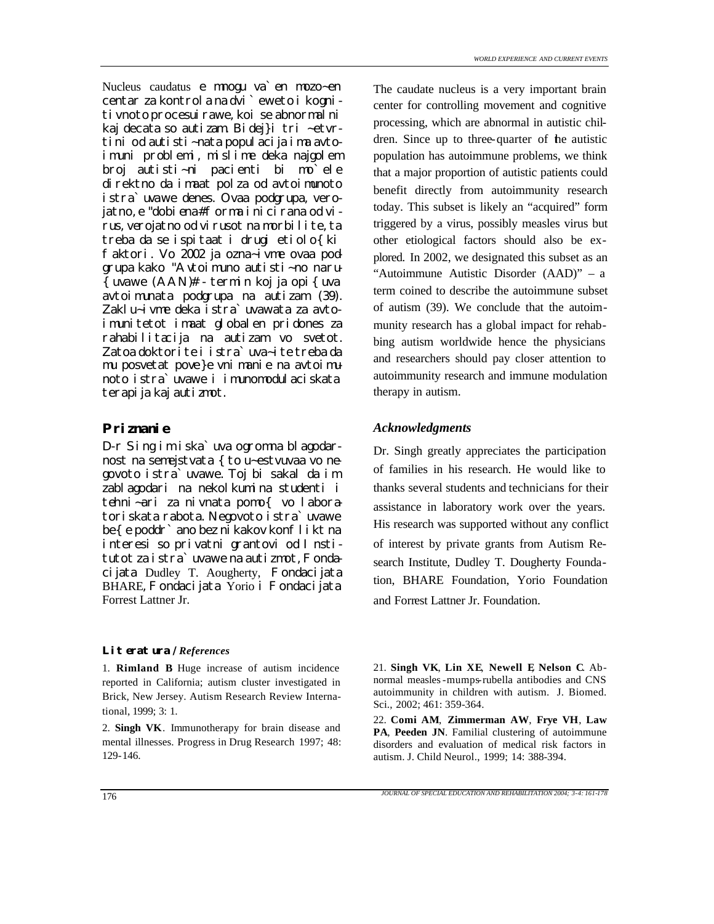Nucleus caudatus e mnogu va`en mozo~en centar za kontrola na dvi`eweto i kogniti vnoto procesui rawe, koi se abnormal ni kaj decata so autizam. Bidej}i tri ~etvrtini od autisti~nata populacija ima avtoimuni problemi, mislime deka najgolem broj autisti~ni pacienti bi mo`ele direktno da imaat polza od avtoimunoto istra`uvawe denes. Ovaa podgrupa, verojatno, e "dobi ena# forma i ni ci rana od virus, verojatno od virusot na morbilite, ta treba da se ispitaat i drugi etiolo{ki faktori. Vo 2002 ja ozna~ivme ovaa podgrupa kako "Avtoimuno autisti~no naru- {uvawe (AAN)# - termin koj ja opi{uva avtoimunata podgrupa na autizam (39). Zaklu~ivme deka istra`uvawata za avtoimunitetot imaat globalen pridones za rahabilitacija na autizam vo svetot. Zatoa doktorite i istra`uva~ite treba da mu posvetat pove}e vnimanie na avtoimunoto istra`uvawe i imunomodulaciskata terapija kaj autizmot.

D-r Sing im iska`uva ogromna blagodarnost na semejstvata { to u~estvuvaa vo negovoto istra`uvawe. Toj bi sakal da im zablagodari na nekolkumina studenti i tehni~ari za nivnata pomo{ vo laboratoriskata rabota. Negovoto istra`uvawe be{e poddr`ano bez nikakov konflikt na interesi so privatni grantovi od Institutot za istra`uvawe na autizmot, Fondacijata Dudley T. Aougherty, Fondacijata BHARE, Fondacijata Yorio i Fondacijata Forrest Lattner Jr.

# *Literatura / References*

1. **Rimland B**. Huge increase of autism incidence reported in California; autism cluster investigated in Brick, New Jersey. Autism Research Review International, 1999; 3: 1.

2. **Singh VK**. Immunotherapy for brain disease and mental illnesses. Progress in Drug Research 1997; 48: 129-146.

*WORLD EXPERIENCE AND CURRENT EVENTS*

center for controlling movement and cognitive processing, which are abnormal in autistic children. Since up to three-quarter of the autistic population has autoimmune problems, we think that a major proportion of autistic patients could benefit directly from autoimmunity research today. This subset is likely an "acquired" form triggered by a virus, possibly measles virus but other etiological factors should also be explored. In 2002, we designated this subset as an "Autoimmune Autistic Disorder (AAD)" – a term coined to describe the autoimmune subset of autism (39). We conclude that the autoimmunity research has a global impact for rehabbing autism worldwide hence the physicians and researchers should pay closer attention to autoimmunity research and immune modulation therapy in autism.

The caudate nucleus is a very important brain

### *Priznanie Acknowledgments*

Dr. Singh greatly appreciates the participation of families in his research. He would like to thanks several students and technicians for their assistance in laboratory work over the years. His research was supported without any conflict of interest by private grants from Autism Research Institute, Dudley T. Dougherty Foundation, BHARE Foundation, Yorio Foundation and Forrest Lattner Jr. Foundation.

22. **Comi AM**, **Zimmerman AW**, **Frye VH**, **Law PA**, **Peeden JN**. Familial clustering of autoimmune disorders and evaluation of medical risk factors in autism. J. Child Neurol., 1999; 14: 388-394.

<sup>21.</sup> **Singh VK**, **Lin XE**, **Newell E**, **Nelson C**. Abnormal measles-mumps-rubella antibodies and CNS autoimmunity in children with autism. J. Biomed. Sci., 2002; 461: 359-364.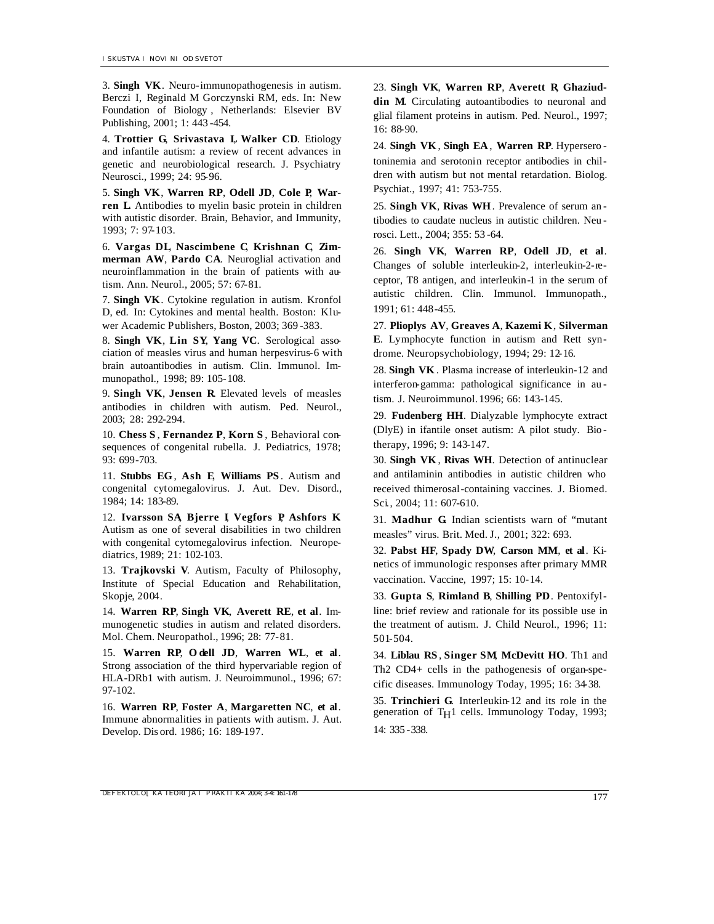3. **Singh VK**. Neuro-immunopathogenesis in autism. Berczi I, Reginald M Gorczynski RM, eds. In: New Foundation of Biology , Netherlands: Elsevier BV Publishing, 2001; 1: 443 -454.

4. **Trottier G**, **Srivastava L**, **Walker CD**. Etiology and infantile autism: a review of recent advances in genetic and neurobiological research. J. Psychiatry Neurosci., 1999; 24: 95-96.

5. **Singh VK**, **Warren RP**, **Odell JD**, **Cole P**, **Warren L**. Antibodies to myelin basic protein in children with autistic disorder. Brain, Behavior, and Immunity, 1993; 7: 97-103.

6. **Vargas DL**, **Nascimbene C**, **Krishnan C**, **Zimmerman AW**, **Pardo CA**. Neuroglial activation and neuroinflammation in the brain of patients with autism. Ann. Neurol., 2005; 57: 67-81.

7. **Singh VK**. Cytokine regulation in autism. Kronfol D, ed. In: Cytokines and mental health. Boston: Kluwer Academic Publishers, Boston, 2003; 369 -383.

8. **Singh VK**, **Lin SY**, **Yang VC**. Serological association of measles virus and human herpesvirus-6 with brain autoantibodies in autism. Clin. Immunol. Immunopathol., 1998; 89: 105-108.

9. **Singh VK**, **Jensen R**. Elevated levels of measles antibodies in children with autism. Ped. Neurol., 2003; 28: 292-294.

10. **Chess S** , **Fernandez P**, **Korn S** , Behavioral consequences of congenital rubella. J. Pediatrics, 1978; 93: 699-703.

11. **Stubbs EG**, **Ash E**, **Williams PS** . Autism and congenital cytomegalovirus. J. Aut. Dev. Disord., 1984; 14: 183-89.

12. **Ivarsson SA**, **Bjerre I**, **Vegfors P**, **Ashfors K**. Autism as one of several disabilities in two children with congenital cytomegalovirus infection. Neuropediatrics, 1989; 21: 102-103.

13. **Trajkovski V**. Autism, Faculty of Philosophy, Institute of Special Education and Rehabilitation, Skopje, 2004.

14. **Warren RP**, **Singh VK**, **Averett RE**, **et al**. Immunogenetic studies in autism and related disorders. Mol. Chem. Neuropathol., 1996; 28: 77-81.

15. **Warren RP**, **Odell JD**, **Warren WL**, **et al**. Strong association of the third hypervariable region of HLA-DRb1 with autism. J. Neuroimmunol., 1996; 67: 97-102.

16. **Warren RP**, **Foster A**, **Margaretten NC**, **et al**. Immune abnormalities in patients with autism. J. Aut. Develop. Dis ord. 1986; 16: 189-197.

23. **Singh VK**, **Warren RP**, **Averett R**, **Ghaziuddin M**. Circulating autoantibodies to neuronal and glial filament proteins in autism. Ped. Neurol., 1997; 16: 88-90.

24. **Singh VK** , **Singh EA** , **Warren RP**. Hypersero toninemia and serotonin receptor antibodies in children with autism but not mental retardation. Biolog. Psychiat., 1997; 41: 753-755.

25. **Singh VK**, **Rivas WH**. Prevalence of serum an tibodies to caudate nucleus in autistic children. Neu rosci. Lett., 2004; 355: 53 -64.

26. **Singh VK**, **Warren RP**, **Odell JD**, **et al**. Changes of soluble interleukin-2, interleukin-2-receptor, T8 antigen, and interleukin-1 in the serum of autistic children. Clin. Immunol. Immunopath., 1991; 61: 448-455.

27. **Plioplys AV**, **Greaves A**, **Kazemi K**, **Silverman E**. Lymphocyte function in autism and Rett syndrome. Neuropsychobiology, 1994; 29: 12-16.

28. **Singh VK** . Plasma increase of interleukin-12 and interferon-gamma: pathological significance in au tism. J. Neuroimmunol. 1996; 66: 143-145.

29. **Fudenberg HH**. Dialyzable lymphocyte extract (DlyE) in ifantile onset autism: A pilot study. Bio therapy, 1996; 9: 143-147.

30. **Singh VK** , **Rivas WH**. Detection of antinuclear and antilaminin antibodies in autistic children who received thimerosal-containing vaccines. J. Biomed. Sci., 2004; 11: 607-610.

31. **Madhur G**. Indian scientists warn of "mutant measles" virus. Brit. Med. J., 2001; 322: 693.

32. **Pabst HF**, **Spady DW**, **Carson MM**, **et al**. Kinetics of immunologic responses after primary MMR vaccination. Vaccine, 1997; 15: 10-14.

33. **Gupta S**, **Rimland B**, **Shilling PD**. Pentoxifylline: brief review and rationale for its possible use in the treatment of autism. J. Child Neurol., 1996; 11: 501-504.

34. **Liblau RS** , **Singer SM**, **McDevitt HO**. Th1 and Th2 CD4+ cells in the pathogenesis of organ-specific diseases. Immunology Today, 1995; 16: 34-38.

35. **Trinchieri G**. Interleukin-12 and its role in the generation of T<sub>H</sub>1 cells. Immunology Today, 1993; 14: 335 -338.